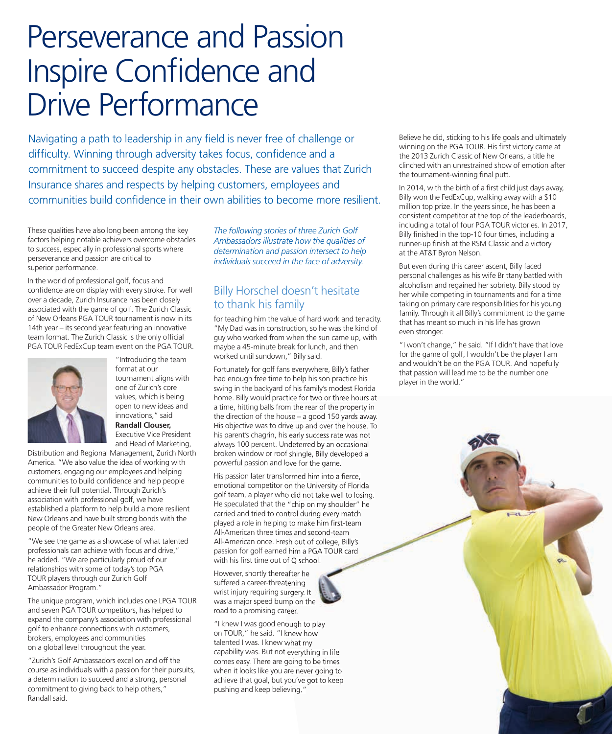# Perseverance and Passion Inspire Confidence and Drive Performance

Navigating a path to leadership in any field is never free of challenge or difficulty. Winning through adversity takes focus, confidence and a commitment to succeed despite any obstacles. These are values that Zurich Insurance shares and respects by helping customers, employees and communities build confidence in their own abilities to become more resilient.

These qualities have also long been among the key factors helping notable achievers overcome obstacles to success, especially in professional sports where perseverance and passion are critical to superior performance.

In the world of professional golf, focus and confidence are on display with every stroke. For well over a decade, Zurich Insurance has been closely associated with the game of golf. The Zurich Classic of New Orleans PGA TOUR tournament is now in its 14th year – its second year featuring an innovative team format. The Zurich Classic is the only official PGA TOUR FedExCup team event on the PGA TOUR.



"Introducing the team format at our tournament aligns with one of Zurich's core values, which is being open to new ideas and innovations," said **Randall Clouser,** Executive Vice President and Head of Marketing,

Distribution and Regional Management, Zurich North America. "We also value the idea of working with customers, engaging our employees and helping communities to build confidence and help people achieve their full potential. Through Zurich's association with professional golf, we have established a platform to help build a more resilient New Orleans and have built strong bonds with the people of the Greater New Orleans area.

"We see the game as a showcase of what talented professionals can achieve with focus and drive," he added. "We are particularly proud of our relationships with some of today's top PGA TOUR players through our Zurich Golf Ambassador Program."

The unique program, which includes one LPGA TOUR and seven PGA TOUR competitors, has helped to expand the company's association with professional golf to enhance connections with customers, brokers, employees and communities on a global level throughout the year.

"Zurich's Golf Ambassadors excel on and off the course as individuals with a passion for their pursuits, a determination to succeed and a strong, personal commitment to giving back to help others," Randall said.

*The following stories of three Zurich Golf Ambassadors illustrate how the qualities of determination and passion intersect to help individuals succeed in the face of adversity.*

## Billy Horschel doesn't hesitate to thank his family

for teaching him the value of hard work and tenacity. "My Dad was in construction, so he was the kind of guy who worked from when the sun came up, with maybe a 45-minute break for lunch, and then worked until sundown," Billy said.

Fortunately for golf fans everywhere, Billy's father had enough free time to help his son practice his swing in the backyard of his family's modest Florida home. Billy would practice for two or three hours at a time, hitting balls from the rear of the property in the direction of the house – a good 150 yards away. His objective was to drive up and over the house. To his parent's chagrin, his early success rate was not always 100 percent. Undeterred by an occasional broken window or roof shingle, Billy developed a powerful passion and love for the game.

His passion later transformed him into a fierce, emotional competitor on the University of Florida golf team, a player who did not take well to losing. He speculated that the "chip on my shoulder" he carried and tried to control during every match played a role in helping to make him first-team All-American three times and second-team All-American once. Fresh out of college, Billy's passion for golf earned him a PGA TOUR card with his first time out of Q school.

However, shortly thereafter he suffered a career-threatening wrist injury requiring surgery. It was a major speed bump on the road to a promising career.



"I knew I was good enough to play on TOUR," he said. "I knew how talented I was. I knew what my capability was. But not everything in life comes easy. There are going to be times when it looks like you are never going to achieve that goal, but you've got to keep pushing and keep believing."

Believe he did, sticking to his life goals and ultimately winning on the PGA TOUR. His first victory came at the 2013 Zurich Classic of New Orleans, a title he clinched with an unrestrained show of emotion after the tournament-winning final putt.

In 2014, with the birth of a first child just days away, Billy won the FedExCup, walking away with a \$10 million top prize. In the years since, he has been a consistent competitor at the top of the leaderboards, including a total of four PGA TOUR victories. In 2017, Billy finished in the top-10 four times, including a runner-up finish at the RSM Classic and a victory at the AT&T Byron Nelson.

But even during this career ascent, Billy faced personal challenges as his wife Brittany battled with alcoholism and regained her sobriety. Billy stood by her while competing in tournaments and for a time taking on primary care responsibilities for his young family. Through it all Billy's commitment to the game that has meant so much in his life has grown even stronger.

"I won't change," he said. "If I didn't have that love for the game of golf, I wouldn't be the player I am and wouldn't be on the PGA TOUR. And hopefully that passion will lead me to be the number one player in the world."

 $H$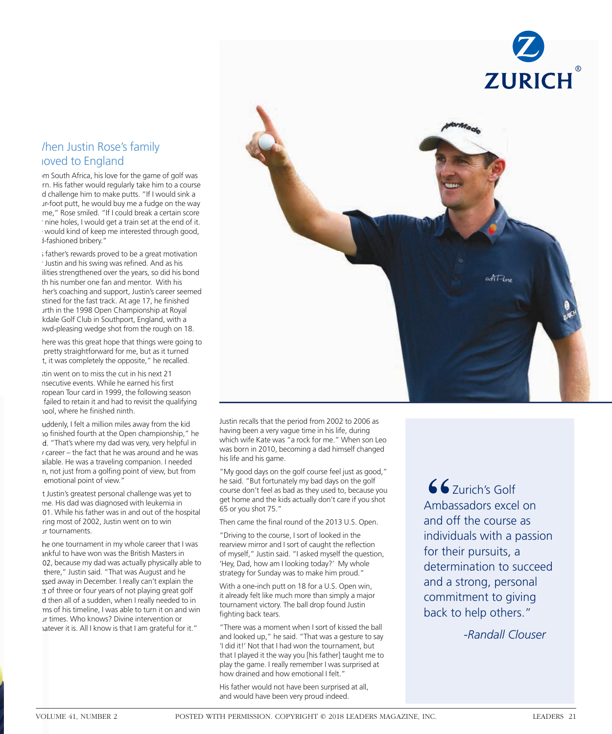

#### When Justin Rose's family more de England  $f(x)$  is the africant  $f(x)$  of  $f(x)$ **hen Justin Rose's family noved to England**

m South Africa, his love for the game of golf was rn. His father would regularly take him to a course d challenge him to make putts. "If I would sink a ur-foot putt, he would buy me a fudge on the way me," Rose smiled. "If I could break a certain score mine holes, I would get a train set at the end of it. would kind of keep me interested through good,  $H_{\text{inert}}$  rewards proved to be a great motivation of  $\mathcal{G}$ I-fashioned bribery."

; father's rewards proved to be a great motivation Justin and his swing was refined. And as his ilities strengthened over the years, so did his bond th his number one fan and mentor. With his her's coaching and support, Justin's career seemed stined for the fast track. At age 17, he finished urth in the 1998 Open Championship at Royal kdale Golf Club in Southport, England, with a The pressing meage shot home the roagh on to. wd-pleasing wedge shot from the rough on 18.

here was this great hope that things were going to pretty straightforward for me, but as it turned q it has completely the oppositely increase t, it was completely the opposite," he recalled.

itin went on to miss the cut in his next 21 nsecutive events. While he earned his first ropean Tour card in 1999, the following season failed to retain it and had to revisit the qualifying "Suddenly i find the million miles a miles and the kidden the kidden of the kidden of the kidden of the kidden hool, where he finished ninth.

uddenly, I felt a million miles away from the kid no finished fourth at the Open championship," he d. "That's where my dad was very, very helpful in  $\alpha$  career – the fact that he was around and he was ailable. He was a traveling companion. I needed n, not just from a golfing point of view, but from emotional point of view.'

But discussion personal charges was yet to the charges was yet to the charges was yet to the charges was yet to t Justin's greatest personal challenge was yet to me. His dad was diagnosed with leukemia in 01. While his father was in and out of the hospital ring most of 2002, Justin went on to win "The one tournament in my whole career that I was ur tournaments.

he one tournament in my whole career that I was งกkful to have won was the British Masters in 02, because my dad was actually physically able to there," Justin said. "That was August and he ssed away in December. I really can't explain the t of three or four years of not playing great golf d then all of a sudden, when I really needed to in ms of his timeline, I was able to turn it on and win ur times. Who knows? Divine intervention or hatever it is. All I know is that I am grateful for it."



Justin recalls that the period from 2002 to 2006 as having been a very vague time in his life, during which wife Kate was "a rock for me." When son Leo was born in 2010, becoming a dad himself changed who did no game. his life and his game.

"My good days on the golf course feel just as good," he said. "But fortunately my bad days on the golf course don't feel as bad as they used to, because you get home and the kids actually don't care if you shot  $T_{\rm 200}$  came the  $T_{\rm 200}$ 65 or you shot 75."

Then came the final round of the 2013 U.S. Open.<br>-

"Driving to the course, I sort of looked in the rearview mirror and I sort of caught the reflection of myself," Justin said. "I asked myself the question, 'Hey, Dad, how am I looking today?' My whole with a one-inch product on the latter window window with the U.S. of the U.S. of the U.S. of the U.S. of the U.S. of the U.S. of the U.S. of the U.S. of the U.S. of the U.S. of the U.S. of the U.S. of the U.S. of the U.S. strategy for Sunday was to make him proud."

With a one-inch putt on 18 for a U.S. Open win, it already felt like much more than simply a major tournament victory. The ball drop found Justin "There was a moment when I so was a moment when I so we have the ball of the ball of the ball of the ball of the ball of the ball of the ball of the ball of the ball of the ball of the ball of the ball of the ball of the b fighting back tears.

"There was a moment when I sort of kissed the ball and looked up," he said. "That was a gesture to say 'I did it!' Not that I had won the tournament, but that I played it the way you [his father] taught me to play the game. I really remember I was surprised at how drained and how emotional I felt."

His father would not have been surprised at all, and would have been very proud indeed.

 $z$ urich's Golf Ambassadors excel on and off the course as individuals with a passion for their pursuits, a determination to succeed actemmation to sacced and a strong, personal back to help others." Zurich's Golf Ambassadors excel on and off the course as individuals with a passion for their pursuits, a determination to succeed and a strong, personal commitment to giving back to help others."

 *-Randall Clouser -Randall Clouser*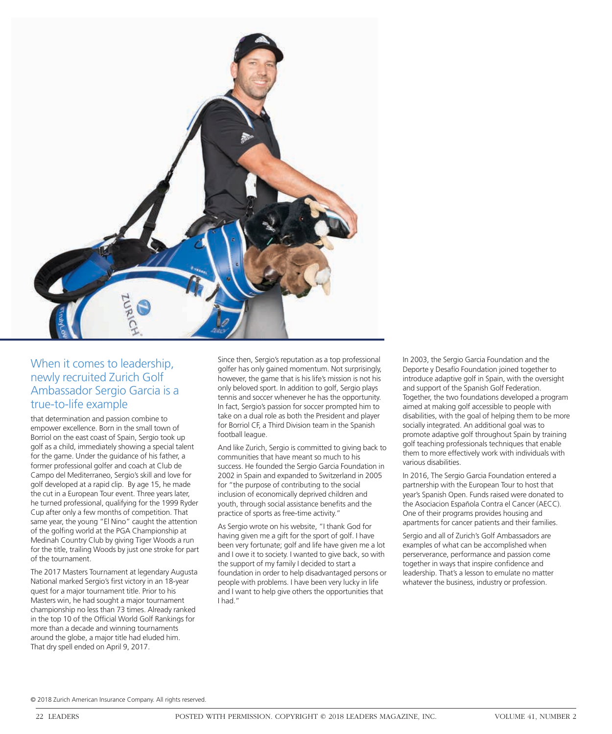

## When it comes to leadership, newly recruited Zurich Golf Ambassador Sergio Garcia is a true-to-life example

that determination and passion combine to empower excellence. Born in the small town of Borriol on the east coast of Spain, Sergio took up golf as a child, immediately showing a special talent for the game. Under the guidance of his father, a former professional golfer and coach at Club de Campo del Mediterraneo, Sergio's skill and love for golf developed at a rapid clip. By age 15, he made the cut in a European Tour event. Three years later, he turned professional, qualifying for the 1999 Ryder Cup after only a few months of competition. That same year, the young "El Nino" caught the attention of the golfing world at the PGA Championship at Medinah Country Club by giving Tiger Woods a run for the title, trailing Woods by just one stroke for part of the tournament.

The 2017 Masters Tournament at legendary Augusta National marked Sergio's first victory in an 18-year quest for a major tournament title. Prior to his Masters win, he had sought a major tournament championship no less than 73 times. Already ranked in the top 10 of the Official World Golf Rankings for more than a decade and winning tournaments around the globe, a major title had eluded him. That dry spell ended on April 9, 2017.

Since then, Sergio's reputation as a top professional golfer has only gained momentum. Not surprisingly, however, the game that is his life's mission is not his only beloved sport. In addition to golf, Sergio plays tennis and soccer whenever he has the opportunity. In fact, Sergio's passion for soccer prompted him to take on a dual role as both the President and player for Borriol CF, a Third Division team in the Spanish football league.

And like Zurich, Sergio is committed to giving back to communities that have meant so much to his success. He founded the Sergio Garcia Foundation in 2002 in Spain and expanded to Switzerland in 2005 for "the purpose of contributing to the social inclusion of economically deprived children and youth, through social assistance benefits and the practice of sports as free-time activity."

As Sergio wrote on his website, "I thank God for having given me a gift for the sport of golf. I have been very fortunate; golf and life have given me a lot and I owe it to society. I wanted to give back, so with the support of my family I decided to start a foundation in order to help disadvantaged persons or people with problems. I have been very lucky in life and I want to help give others the opportunities that I had."

In 2003, the Sergio Garcia Foundation and the Deporte y Desafío Foundation joined together to introduce adaptive golf in Spain, with the oversight and support of the Spanish Golf Federation. Together, the two foundations developed a program aimed at making golf accessible to people with disabilities, with the goal of helping them to be more socially integrated. An additional goal was to promote adaptive golf throughout Spain by training golf teaching professionals techniques that enable them to more effectively work with individuals with various disabilities.

In 2016, The Sergio Garcia Foundation entered a partnership with the European Tour to host that year's Spanish Open. Funds raised were donated to the Asociacion Española Contra el Cancer (AECC). One of their programs provides housing and apartments for cancer patients and their families.

Sergio and all of Zurich's Golf Ambassadors are examples of what can be accomplished when perserverance, performance and passion come together in ways that inspire confidence and leadership. That's a lesson to emulate no matter whatever the business, industry or profession.

© 2018 Zurich American Insurance Company. All rights reserved.